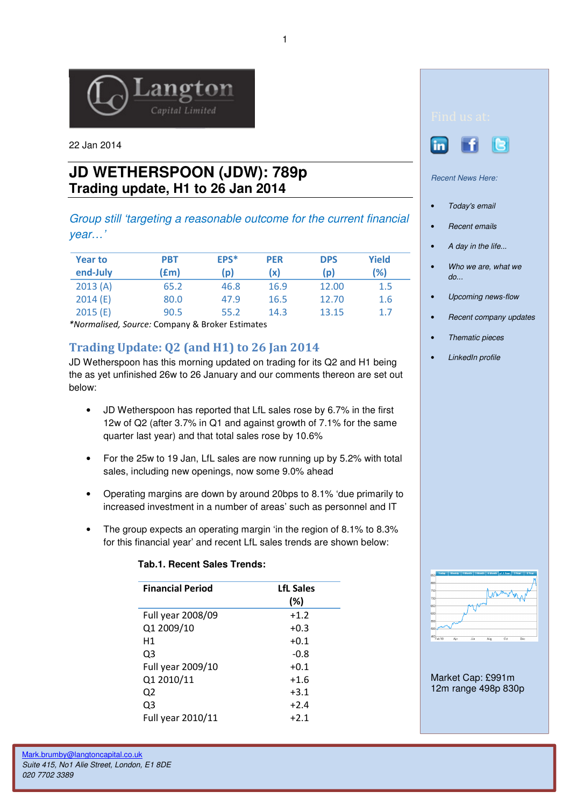

22 Jan 2014

## **JD WETHERSPOON (JDW): 789p Trading update, H1 to 26 Jan 2014**

Group still 'targeting a reasonable outcome for the current financial year…'

| <b>Year to</b><br>end-July | <b>PBT</b><br>(£m) | EPS*<br>(p) | <b>PER</b><br>(x) | <b>DPS</b><br>(p) | Yield<br>(%) |
|----------------------------|--------------------|-------------|-------------------|-------------------|--------------|
| 2013(A)                    | 65.2               | 46.8        | 16.9              | 12.00             | 1.5          |
| 2014(E)                    | 80.0               | 47.9        | 16.5              | 12.70             | 1.6          |
| 2015(E)                    | 90.5               | 55.2        | 14.3              | 13.15             | 1.7          |

\*Normalised, Source: Company & Broker Estimates

## Trading Update: Q2 (and H1) to 26 Jan 2014

JD Wetherspoon has this morning updated on trading for its Q2 and H1 being the as yet unfinished 26w to 26 January and our comments thereon are set out below:

- JD Wetherspoon has reported that LfL sales rose by 6.7% in the first 12w of Q2 (after 3.7% in Q1 and against growth of 7.1% for the same quarter last year) and that total sales rose by 10.6%
- For the 25w to 19 Jan, LfL sales are now running up by 5.2% with total sales, including new openings, now some 9.0% ahead
- Operating margins are down by around 20bps to 8.1% 'due primarily to increased investment in a number of areas' such as personnel and IT
- The group expects an operating margin 'in the region of 8.1% to 8.3% for this financial year' and recent LfL sales trends are shown below:

## **Tab.1. Recent Sales Trends:**

| <b>Financial Period</b> | <b>LfL Sales</b><br>(%) |
|-------------------------|-------------------------|
| Full year 2008/09       | $+1.2$                  |
| Q1 2009/10              | $+0.3$                  |
| H1                      | $+0.1$                  |
| Q3                      | $-0.8$                  |
| Full year 2009/10       | $+0.1$                  |
| Q1 2010/11              | $+1.6$                  |
| Q2                      | $+3.1$                  |
| Q3                      | $+2.4$                  |
| Full year 2010/11       | $+2.1$                  |





Recent News Here:

- Today's email
- Recent emails
- A day in the life...
- Who we are, what we do...
- Upcoming news-flow
- Recent company updates
- Thematic pieces
- LinkedIn profile



Market Cap: £991m 12m range 498p 830p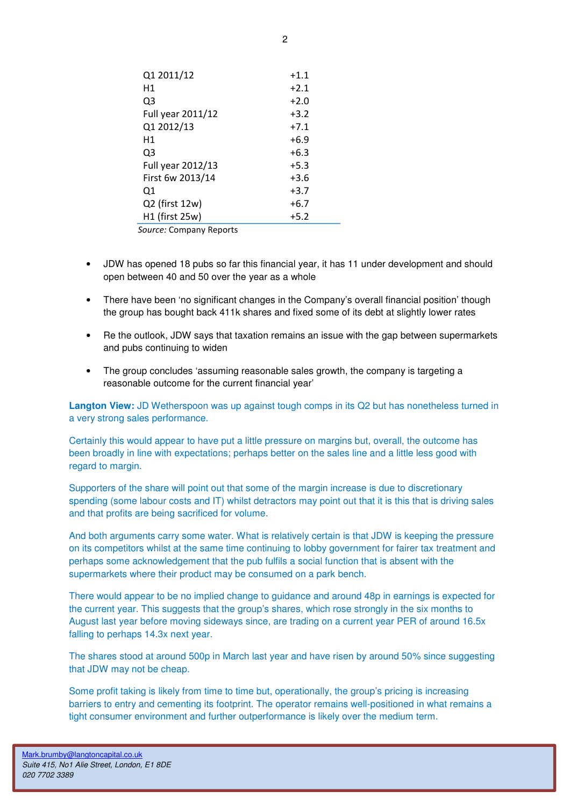| Q1 2011/12        | $+1.1$ |  |  |  |
|-------------------|--------|--|--|--|
| Η1                | $+2.1$ |  |  |  |
| Q3                | $+2.0$ |  |  |  |
| Full year 2011/12 | $+3.2$ |  |  |  |
| Q1 2012/13        | $+7.1$ |  |  |  |
| Η1                | $+6.9$ |  |  |  |
| Q3                | $+6.3$ |  |  |  |
| Full year 2012/13 | $+5.3$ |  |  |  |
| First 6w 2013/14  | $+3.6$ |  |  |  |
| Q1                | $+3.7$ |  |  |  |
| Q2 (first 12w)    | $+6.7$ |  |  |  |
| H1 (first 25w)    | $+5.2$ |  |  |  |
|                   |        |  |  |  |

Source: Company Reports

- JDW has opened 18 pubs so far this financial year, it has 11 under development and should open between 40 and 50 over the year as a whole
- There have been 'no significant changes in the Company's overall financial position' though the group has bought back 411k shares and fixed some of its debt at slightly lower rates
- Re the outlook, JDW says that taxation remains an issue with the gap between supermarkets and pubs continuing to widen
- The group concludes 'assuming reasonable sales growth, the company is targeting a reasonable outcome for the current financial year'

**Langton View:** JD Wetherspoon was up against tough comps in its Q2 but has nonetheless turned in a very strong sales performance.

Certainly this would appear to have put a little pressure on margins but, overall, the outcome has been broadly in line with expectations; perhaps better on the sales line and a little less good with regard to margin.

Supporters of the share will point out that some of the margin increase is due to discretionary spending (some labour costs and IT) whilst detractors may point out that it is this that is driving sales and that profits are being sacrificed for volume.

And both arguments carry some water. What is relatively certain is that JDW is keeping the pressure on its competitors whilst at the same time continuing to lobby government for fairer tax treatment and perhaps some acknowledgement that the pub fulfils a social function that is absent with the supermarkets where their product may be consumed on a park bench.

There would appear to be no implied change to guidance and around 48p in earnings is expected for the current year. This suggests that the group's shares, which rose strongly in the six months to August last year before moving sideways since, are trading on a current year PER of around 16.5x falling to perhaps 14.3x next year.

The shares stood at around 500p in March last year and have risen by around 50% since suggesting that JDW may not be cheap.

Some profit taking is likely from time to time but, operationally, the group's pricing is increasing barriers to entry and cementing its footprint. The operator remains well-positioned in what remains a tight consumer environment and further outperformance is likely over the medium term.